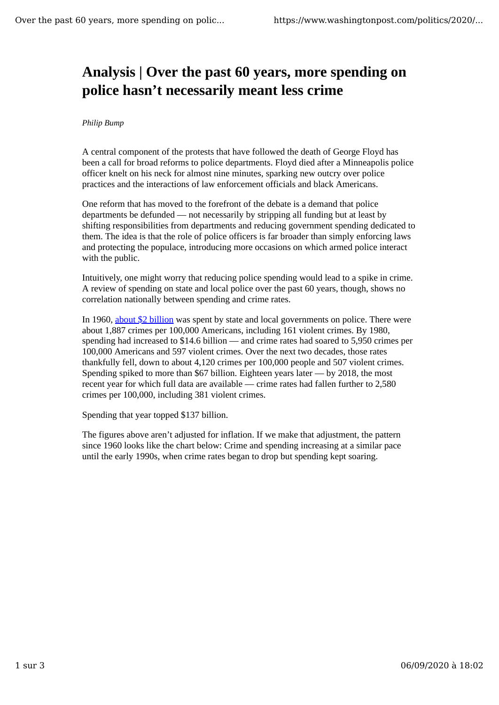## **Analysis | Over the past 60 years, more spending on police hasn't necessarily meant less crime**

## *Philip Bump*

A central component of the protests that have followed the death of George Floyd has been a call for broad reforms to police departments. Floyd died after a Minneapolis police officer knelt on his neck for almost nine minutes, sparking new outcry over police practices and the interactions of law enforcement officials and black Americans.

One reform that has moved to the forefront of the debate is a demand that police departments be defunded — not necessarily by stripping all funding but at least by shifting responsibilities from departments and reducing government spending dedicated to them. The idea is that the role of police officers is far broader than simply enforcing laws and protecting the populace, introducing more occasions on which armed police interact with the public.

Intuitively, one might worry that reducing police spending would lead to a spike in crime. A review of spending on state and local police over the past 60 years, though, shows no correlation nationally between spending and crime rates.

In 1960, about \$2 billion was spent by state and local governments on police. There were about 1,887 crimes per 100,000 Americans, including 161 violent crimes. By 1980, spending had increased to \$14.6 billion — and crime rates had soared to 5,950 crimes per 100,000 Americans and 597 violent crimes. Over the next two decades, those rates thankfully fell, down to about 4,120 crimes per 100,000 people and 507 violent crimes. Spending spiked to more than \$67 billion. Eighteen years later — by 2018, the most recent year for which full data are available — crime rates had fallen further to 2,580 crimes per 100,000, including 381 violent crimes.

Spending that year topped \$137 billion.

The figures above aren't adjusted for inflation. If we make that adjustment, the pattern since 1960 looks like the chart below: Crime and spending increasing at a similar pace until the early 1990s, when crime rates began to drop but spending kept soaring.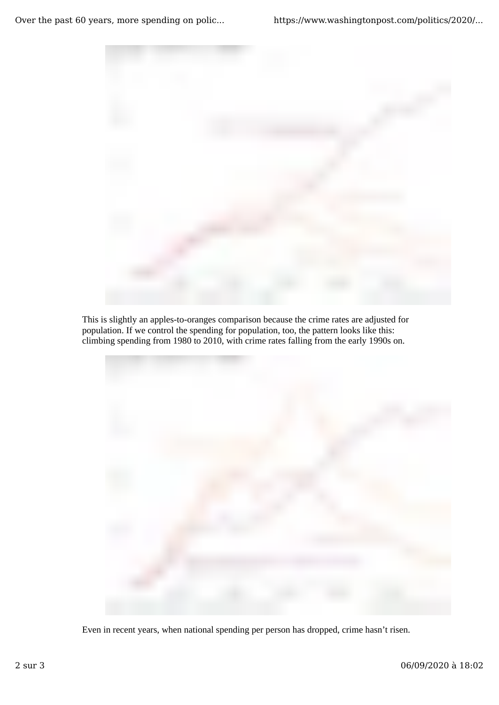

This is slightly an apples-to-oranges comparison because the crime rates are adjusted for population. If we control the spending for population, too, the pattern looks like this: climbing spending from 1980 to 2010, with crime rates falling from the early 1990s on.



Even in recent years, when national spending per person has dropped, crime hasn't risen.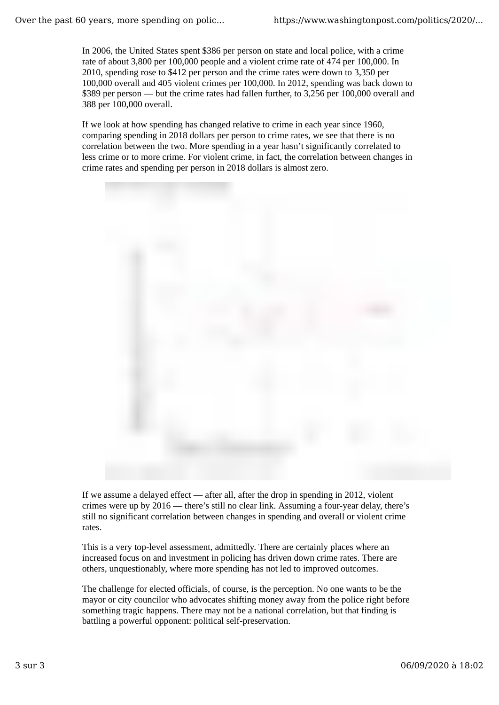In 2006, the United States spent \$386 per person on state and local police, with a crime rate of about 3,800 per 100,000 people and a violent crime rate of 474 per 100,000. In 2010, spending rose to \$412 per person and the crime rates were down to 3,350 per 100,000 overall and 405 violent crimes per 100,000. In 2012, spending was back down to \$389 per person — but the crime rates had fallen further, to 3,256 per 100,000 overall and 388 per 100,000 overall.

If we look at how spending has changed relative to crime in each year since 1960, comparing spending in 2018 dollars per person to crime rates, we see that there is no correlation between the two. More spending in a year hasn't significantly correlated to less crime or to more crime. For violent crime, in fact, the correlation between changes in crime rates and spending per person in 2018 dollars is almost zero.



If we assume a delayed effect — after all, after the drop in spending in 2012, violent crimes were up by 2016 — there's still no clear link. Assuming a four-year delay, there's still no significant correlation between changes in spending and overall or violent crime rates.

This is a very top-level assessment, admittedly. There are certainly places where an increased focus on and investment in policing has driven down crime rates. There are others, unquestionably, where more spending has not led to improved outcomes.

The challenge for elected officials, of course, is the perception. No one wants to be the mayor or city councilor who advocates shifting money away from the police right before something tragic happens. There may not be a national correlation, but that finding is battling a powerful opponent: political self-preservation.